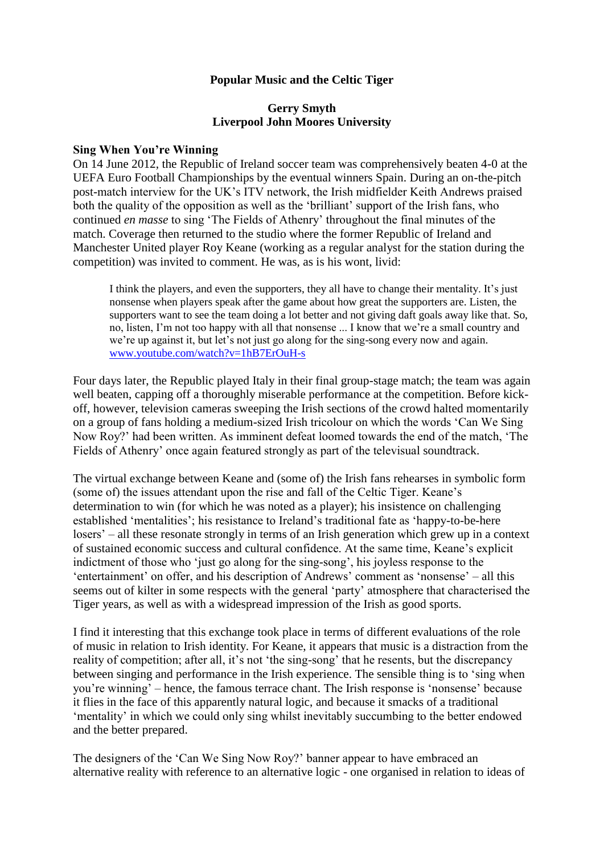## **Popular Music and the Celtic Tiger**

#### **Gerry Smyth Liverpool John Moores University**

#### **Sing When You're Winning**

On 14 June 2012, the Republic of Ireland soccer team was comprehensively beaten 4-0 at the UEFA Euro Football Championships by the eventual winners Spain. During an on-the-pitch post-match interview for the UK's ITV network, the Irish midfielder Keith Andrews praised both the quality of the opposition as well as the 'brilliant' support of the Irish fans, who continued *en masse* to sing 'The Fields of Athenry' throughout the final minutes of the match. Coverage then returned to the studio where the former Republic of Ireland and Manchester United player Roy Keane (working as a regular analyst for the station during the competition) was invited to comment. He was, as is his wont, livid:

I think the players, and even the supporters, they all have to change their mentality. It's just nonsense when players speak after the game about how great the supporters are. Listen, the supporters want to see the team doing a lot better and not giving daft goals away like that. So, no, listen, I'm not too happy with all that nonsense ... I know that we're a small country and we're up against it, but let's not just go along for the sing-song every now and again. [www.youtube.com/watch?v=1hB7ErOuH-s](http://www.youtube.com/watch?v=1hB7ErOuH-s)

Four days later, the Republic played Italy in their final group-stage match; the team was again well beaten, capping off a thoroughly miserable performance at the competition. Before kickoff, however, television cameras sweeping the Irish sections of the crowd halted momentarily on a group of fans holding a medium-sized Irish tricolour on which the words 'Can We Sing Now Roy?' had been written. As imminent defeat loomed towards the end of the match, 'The Fields of Athenry' once again featured strongly as part of the televisual soundtrack.

The virtual exchange between Keane and (some of) the Irish fans rehearses in symbolic form (some of) the issues attendant upon the rise and fall of the Celtic Tiger. Keane's determination to win (for which he was noted as a player); his insistence on challenging established 'mentalities'; his resistance to Ireland's traditional fate as 'happy-to-be-here losers' – all these resonate strongly in terms of an Irish generation which grew up in a context of sustained economic success and cultural confidence. At the same time, Keane's explicit indictment of those who 'just go along for the sing-song', his joyless response to the 'entertainment' on offer, and his description of Andrews' comment as 'nonsense' – all this seems out of kilter in some respects with the general 'party' atmosphere that characterised the Tiger years, as well as with a widespread impression of the Irish as good sports.

I find it interesting that this exchange took place in terms of different evaluations of the role of music in relation to Irish identity. For Keane, it appears that music is a distraction from the reality of competition; after all, it's not 'the sing-song' that he resents, but the discrepancy between singing and performance in the Irish experience. The sensible thing is to 'sing when you're winning' – hence, the famous terrace chant. The Irish response is 'nonsense' because it flies in the face of this apparently natural logic, and because it smacks of a traditional 'mentality' in which we could only sing whilst inevitably succumbing to the better endowed and the better prepared.

The designers of the 'Can We Sing Now Roy?' banner appear to have embraced an alternative reality with reference to an alternative logic - one organised in relation to ideas of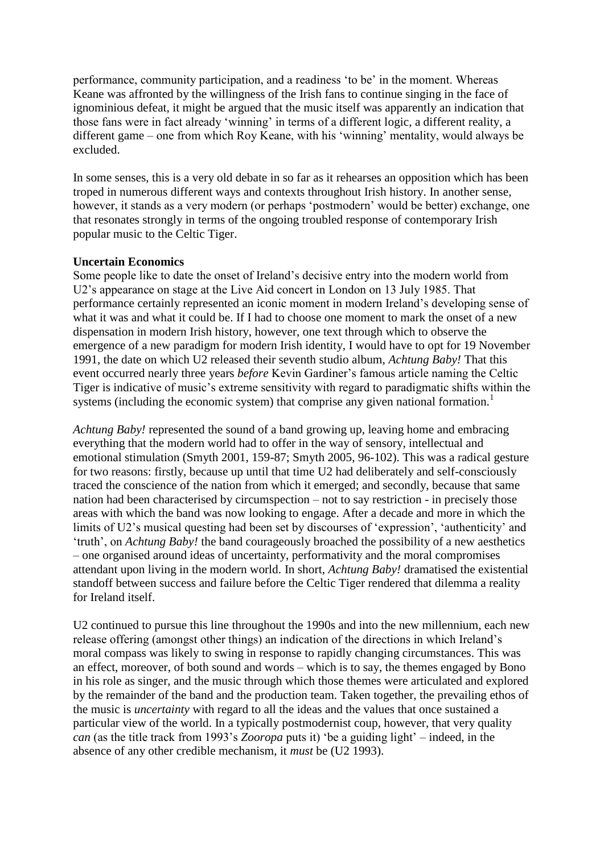performance, community participation, and a readiness 'to be' in the moment. Whereas Keane was affronted by the willingness of the Irish fans to continue singing in the face of ignominious defeat, it might be argued that the music itself was apparently an indication that those fans were in fact already 'winning' in terms of a different logic, a different reality, a different game – one from which Roy Keane, with his 'winning' mentality, would always be excluded.

In some senses, this is a very old debate in so far as it rehearses an opposition which has been troped in numerous different ways and contexts throughout Irish history. In another sense, however, it stands as a very modern (or perhaps 'postmodern' would be better) exchange, one that resonates strongly in terms of the ongoing troubled response of contemporary Irish popular music to the Celtic Tiger.

### **Uncertain Economics**

Some people like to date the onset of Ireland's decisive entry into the modern world from U2's appearance on stage at the Live Aid concert in London on 13 July 1985. That performance certainly represented an iconic moment in modern Ireland's developing sense of what it was and what it could be. If I had to choose one moment to mark the onset of a new dispensation in modern Irish history, however, one text through which to observe the emergence of a new paradigm for modern Irish identity, I would have to opt for 19 November 1991, the date on which U2 released their seventh studio album, *Achtung Baby!* That this event occurred nearly three years *before* Kevin Gardiner's famous article naming the Celtic Tiger is indicative of music's extreme sensitivity with regard to paradigmatic shifts within the systems (including the economic system) that comprise any given national formation.<sup>1</sup>

*Achtung Baby!* represented the sound of a band growing up, leaving home and embracing everything that the modern world had to offer in the way of sensory, intellectual and emotional stimulation (Smyth 2001, 159-87; Smyth 2005, 96-102). This was a radical gesture for two reasons: firstly, because up until that time U2 had deliberately and self-consciously traced the conscience of the nation from which it emerged; and secondly, because that same nation had been characterised by circumspection – not to say restriction - in precisely those areas with which the band was now looking to engage. After a decade and more in which the limits of U2's musical questing had been set by discourses of 'expression', 'authenticity' and 'truth', on *Achtung Baby!* the band courageously broached the possibility of a new aesthetics – one organised around ideas of uncertainty, performativity and the moral compromises attendant upon living in the modern world. In short, *Achtung Baby!* dramatised the existential standoff between success and failure before the Celtic Tiger rendered that dilemma a reality for Ireland itself.

U2 continued to pursue this line throughout the 1990s and into the new millennium, each new release offering (amongst other things) an indication of the directions in which Ireland's moral compass was likely to swing in response to rapidly changing circumstances. This was an effect, moreover, of both sound and words – which is to say, the themes engaged by Bono in his role as singer, and the music through which those themes were articulated and explored by the remainder of the band and the production team. Taken together, the prevailing ethos of the music is *uncertainty* with regard to all the ideas and the values that once sustained a particular view of the world. In a typically postmodernist coup, however, that very quality *can* (as the title track from 1993's *Zooropa* puts it) 'be a guiding light' – indeed, in the absence of any other credible mechanism, it *must* be (U2 1993).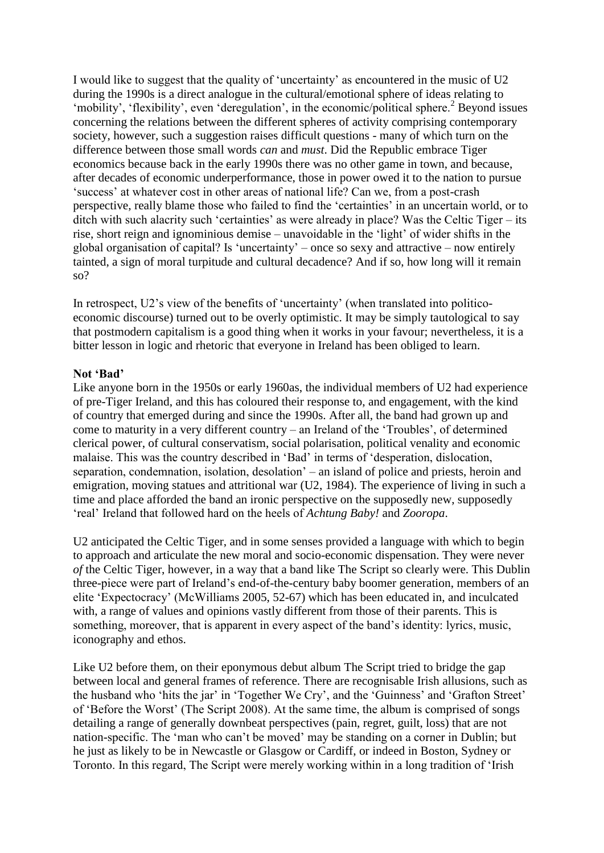I would like to suggest that the quality of 'uncertainty' as encountered in the music of U2 during the 1990s is a direct analogue in the cultural/emotional sphere of ideas relating to 'mobility', 'flexibility', even 'deregulation', in the economic/political sphere.<sup>2</sup> Beyond issues concerning the relations between the different spheres of activity comprising contemporary society, however, such a suggestion raises difficult questions - many of which turn on the difference between those small words *can* and *must*. Did the Republic embrace Tiger economics because back in the early 1990s there was no other game in town, and because, after decades of economic underperformance, those in power owed it to the nation to pursue 'success' at whatever cost in other areas of national life? Can we, from a post-crash perspective, really blame those who failed to find the 'certainties' in an uncertain world, or to ditch with such alacrity such 'certainties' as were already in place? Was the Celtic Tiger – its rise, short reign and ignominious demise – unavoidable in the 'light' of wider shifts in the global organisation of capital? Is 'uncertainty' – once so sexy and attractive – now entirely tainted, a sign of moral turpitude and cultural decadence? And if so, how long will it remain so?

In retrospect, U2's view of the benefits of 'uncertainty' (when translated into politicoeconomic discourse) turned out to be overly optimistic. It may be simply tautological to say that postmodern capitalism is a good thing when it works in your favour; nevertheless, it is a bitter lesson in logic and rhetoric that everyone in Ireland has been obliged to learn.

### **Not 'Bad'**

Like anyone born in the 1950s or early 1960as, the individual members of U2 had experience of pre-Tiger Ireland, and this has coloured their response to, and engagement, with the kind of country that emerged during and since the 1990s. After all, the band had grown up and come to maturity in a very different country – an Ireland of the 'Troubles', of determined clerical power, of cultural conservatism, social polarisation, political venality and economic malaise. This was the country described in 'Bad' in terms of 'desperation, dislocation, separation, condemnation, isolation, desolation' – an island of police and priests, heroin and emigration, moving statues and attritional war (U2, 1984). The experience of living in such a time and place afforded the band an ironic perspective on the supposedly new, supposedly 'real' Ireland that followed hard on the heels of *Achtung Baby!* and *Zooropa*.

U2 anticipated the Celtic Tiger, and in some senses provided a language with which to begin to approach and articulate the new moral and socio-economic dispensation. They were never *of* the Celtic Tiger, however, in a way that a band like The Script so clearly were. This Dublin three-piece were part of Ireland's end-of-the-century baby boomer generation, members of an elite 'Expectocracy' (McWilliams 2005, 52-67) which has been educated in, and inculcated with, a range of values and opinions vastly different from those of their parents. This is something, moreover, that is apparent in every aspect of the band's identity: lyrics, music, iconography and ethos.

Like U2 before them, on their eponymous debut album The Script tried to bridge the gap between local and general frames of reference. There are recognisable Irish allusions, such as the husband who 'hits the jar' in 'Together We Cry', and the 'Guinness' and 'Grafton Street' of 'Before the Worst' (The Script 2008). At the same time, the album is comprised of songs detailing a range of generally downbeat perspectives (pain, regret, guilt, loss) that are not nation-specific. The 'man who can't be moved' may be standing on a corner in Dublin; but he just as likely to be in Newcastle or Glasgow or Cardiff, or indeed in Boston, Sydney or Toronto. In this regard, The Script were merely working within in a long tradition of 'Irish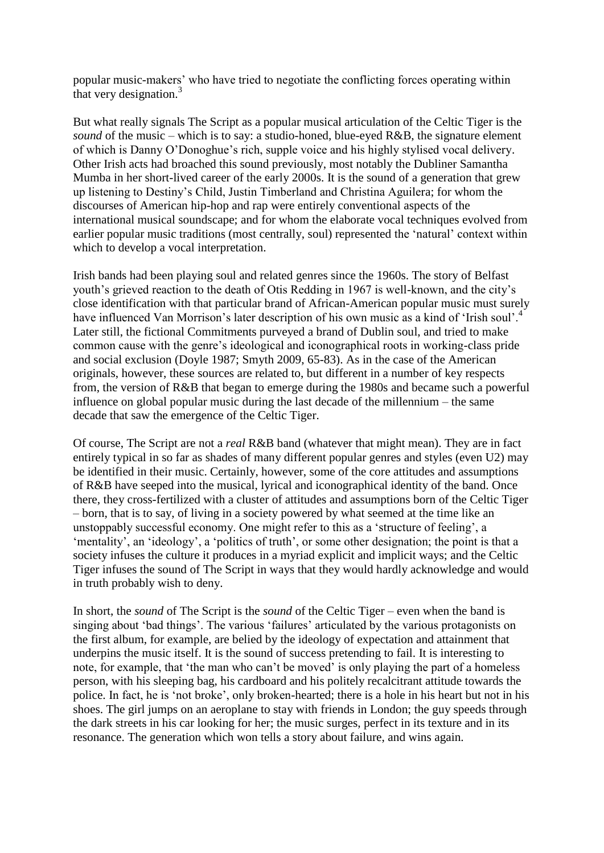popular music-makers' who have tried to negotiate the conflicting forces operating within that very designation. $3$ 

But what really signals The Script as a popular musical articulation of the Celtic Tiger is the *sound* of the music – which is to say: a studio-honed, blue-eyed R&B, the signature element of which is Danny O'Donoghue's rich, supple voice and his highly stylised vocal delivery. Other Irish acts had broached this sound previously, most notably the Dubliner Samantha Mumba in her short-lived career of the early 2000s. It is the sound of a generation that grew up listening to Destiny's Child, Justin Timberland and Christina Aguilera; for whom the discourses of American hip-hop and rap were entirely conventional aspects of the international musical soundscape; and for whom the elaborate vocal techniques evolved from earlier popular music traditions (most centrally, soul) represented the 'natural' context within which to develop a vocal interpretation.

Irish bands had been playing soul and related genres since the 1960s. The story of Belfast youth's grieved reaction to the death of Otis Redding in 1967 is well-known, and the city's close identification with that particular brand of African-American popular music must surely have influenced Van Morrison's later description of his own music as a kind of 'Irish soul'.<sup>4</sup> Later still, the fictional Commitments purveyed a brand of Dublin soul, and tried to make common cause with the genre's ideological and iconographical roots in working-class pride and social exclusion (Doyle 1987; Smyth 2009, 65-83). As in the case of the American originals, however, these sources are related to, but different in a number of key respects from, the version of R&B that began to emerge during the 1980s and became such a powerful influence on global popular music during the last decade of the millennium – the same decade that saw the emergence of the Celtic Tiger.

Of course, The Script are not a *real* R&B band (whatever that might mean). They are in fact entirely typical in so far as shades of many different popular genres and styles (even U2) may be identified in their music. Certainly, however, some of the core attitudes and assumptions of R&B have seeped into the musical, lyrical and iconographical identity of the band. Once there, they cross-fertilized with a cluster of attitudes and assumptions born of the Celtic Tiger – born, that is to say, of living in a society powered by what seemed at the time like an unstoppably successful economy. One might refer to this as a 'structure of feeling', a 'mentality', an 'ideology', a 'politics of truth', or some other designation; the point is that a society infuses the culture it produces in a myriad explicit and implicit ways; and the Celtic Tiger infuses the sound of The Script in ways that they would hardly acknowledge and would in truth probably wish to deny.

In short, the *sound* of The Script is the *sound* of the Celtic Tiger – even when the band is singing about 'bad things'. The various 'failures' articulated by the various protagonists on the first album, for example, are belied by the ideology of expectation and attainment that underpins the music itself. It is the sound of success pretending to fail. It is interesting to note, for example, that 'the man who can't be moved' is only playing the part of a homeless person, with his sleeping bag, his cardboard and his politely recalcitrant attitude towards the police. In fact, he is 'not broke', only broken-hearted; there is a hole in his heart but not in his shoes. The girl jumps on an aeroplane to stay with friends in London; the guy speeds through the dark streets in his car looking for her; the music surges, perfect in its texture and in its resonance. The generation which won tells a story about failure, and wins again.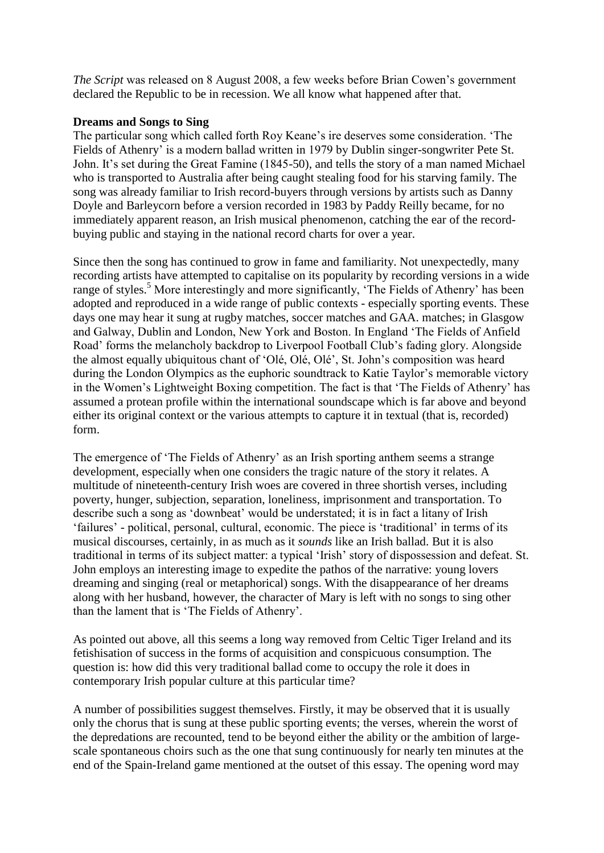*The Script* was released on 8 August 2008, a few weeks before Brian Cowen's government declared the Republic to be in recession. We all know what happened after that.

## **Dreams and Songs to Sing**

The particular song which called forth Roy Keane's ire deserves some consideration. 'The Fields of Athenry' is a modern ballad written in 1979 by Dublin singer-songwriter Pete St. John. It's set during the Great Famine (1845-50), and tells the story of a man named Michael who is transported to Australia after being caught stealing food for his starving family. The song was already familiar to Irish record-buyers through versions by artists such as Danny Doyle and Barleycorn before a version recorded in 1983 by Paddy Reilly became, for no immediately apparent reason, an Irish musical phenomenon, catching the ear of the recordbuying public and staying in the national record charts for over a year.

Since then the song has continued to grow in fame and familiarity. Not unexpectedly, many recording artists have attempted to capitalise on its popularity by recording versions in a wide range of styles.<sup>5</sup> More interestingly and more significantly, 'The Fields of Athenry' has been adopted and reproduced in a wide range of public contexts - especially sporting events. These days one may hear it sung at rugby matches, soccer matches and GAA. matches; in Glasgow and Galway, Dublin and London, New York and Boston. In England 'The Fields of Anfield Road' forms the melancholy backdrop to Liverpool Football Club's fading glory. Alongside the almost equally ubiquitous chant of 'Olé, Olé, Olé', St. John's composition was heard during the London Olympics as the euphoric soundtrack to Katie Taylor's memorable victory in the Women's Lightweight Boxing competition. The fact is that 'The Fields of Athenry' has assumed a protean profile within the international soundscape which is far above and beyond either its original context or the various attempts to capture it in textual (that is, recorded) form.

The emergence of 'The Fields of Athenry' as an Irish sporting anthem seems a strange development, especially when one considers the tragic nature of the story it relates. A multitude of nineteenth-century Irish woes are covered in three shortish verses, including poverty, hunger, subjection, separation, loneliness, imprisonment and transportation. To describe such a song as 'downbeat' would be understated; it is in fact a litany of Irish 'failures' - political, personal, cultural, economic. The piece is 'traditional' in terms of its musical discourses, certainly, in as much as it *sounds* like an Irish ballad. But it is also traditional in terms of its subject matter: a typical 'Irish' story of dispossession and defeat. St. John employs an interesting image to expedite the pathos of the narrative: young lovers dreaming and singing (real or metaphorical) songs. With the disappearance of her dreams along with her husband, however, the character of Mary is left with no songs to sing other than the lament that is 'The Fields of Athenry'.

As pointed out above, all this seems a long way removed from Celtic Tiger Ireland and its fetishisation of success in the forms of acquisition and conspicuous consumption. The question is: how did this very traditional ballad come to occupy the role it does in contemporary Irish popular culture at this particular time?

A number of possibilities suggest themselves. Firstly, it may be observed that it is usually only the chorus that is sung at these public sporting events; the verses, wherein the worst of the depredations are recounted, tend to be beyond either the ability or the ambition of largescale spontaneous choirs such as the one that sung continuously for nearly ten minutes at the end of the Spain-Ireland game mentioned at the outset of this essay. The opening word may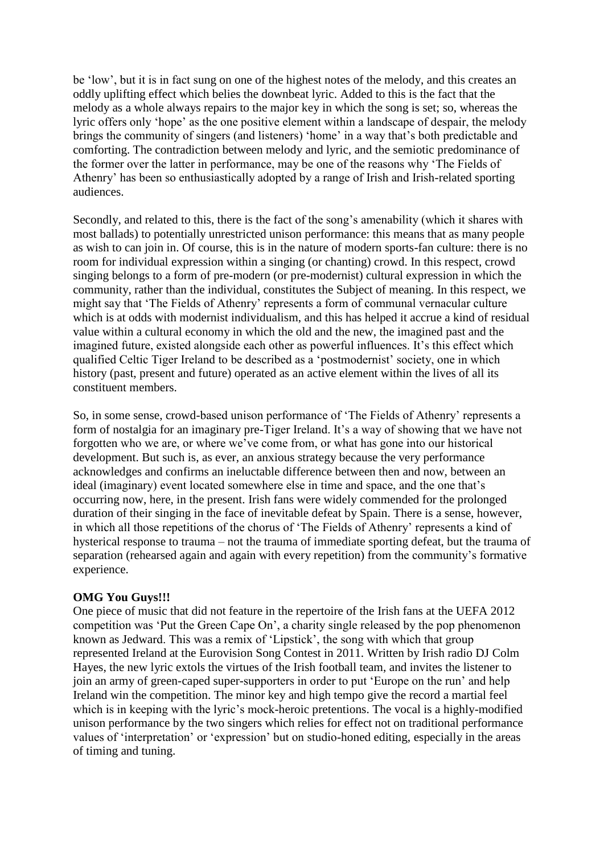be 'low', but it is in fact sung on one of the highest notes of the melody, and this creates an oddly uplifting effect which belies the downbeat lyric. Added to this is the fact that the melody as a whole always repairs to the major key in which the song is set; so, whereas the lyric offers only 'hope' as the one positive element within a landscape of despair, the melody brings the community of singers (and listeners) 'home' in a way that's both predictable and comforting. The contradiction between melody and lyric, and the semiotic predominance of the former over the latter in performance, may be one of the reasons why 'The Fields of Athenry' has been so enthusiastically adopted by a range of Irish and Irish-related sporting audiences.

Secondly, and related to this, there is the fact of the song's amenability (which it shares with most ballads) to potentially unrestricted unison performance: this means that as many people as wish to can join in. Of course, this is in the nature of modern sports-fan culture: there is no room for individual expression within a singing (or chanting) crowd. In this respect, crowd singing belongs to a form of pre-modern (or pre-modernist) cultural expression in which the community, rather than the individual, constitutes the Subject of meaning. In this respect, we might say that 'The Fields of Athenry' represents a form of communal vernacular culture which is at odds with modernist individualism, and this has helped it accrue a kind of residual value within a cultural economy in which the old and the new, the imagined past and the imagined future, existed alongside each other as powerful influences. It's this effect which qualified Celtic Tiger Ireland to be described as a 'postmodernist' society, one in which history (past, present and future) operated as an active element within the lives of all its constituent members.

So, in some sense, crowd-based unison performance of 'The Fields of Athenry' represents a form of nostalgia for an imaginary pre-Tiger Ireland. It's a way of showing that we have not forgotten who we are, or where we've come from, or what has gone into our historical development. But such is, as ever, an anxious strategy because the very performance acknowledges and confirms an ineluctable difference between then and now, between an ideal (imaginary) event located somewhere else in time and space, and the one that's occurring now, here, in the present. Irish fans were widely commended for the prolonged duration of their singing in the face of inevitable defeat by Spain. There is a sense, however, in which all those repetitions of the chorus of 'The Fields of Athenry' represents a kind of hysterical response to trauma – not the trauma of immediate sporting defeat, but the trauma of separation (rehearsed again and again with every repetition) from the community's formative experience.

### **OMG You Guys!!!**

One piece of music that did not feature in the repertoire of the Irish fans at the UEFA 2012 competition was 'Put the Green Cape On', a charity single released by the pop phenomenon known as Jedward. This was a remix of 'Lipstick', the song with which that group represented Ireland at the Eurovision Song Contest in 2011. Written by Irish radio DJ Colm Hayes, the new lyric extols the virtues of the Irish football team, and invites the listener to join an army of green-caped super-supporters in order to put 'Europe on the run' and help Ireland win the competition. The minor key and high tempo give the record a martial feel which is in keeping with the lyric's mock-heroic pretentions. The vocal is a highly-modified unison performance by the two singers which relies for effect not on traditional performance values of 'interpretation' or 'expression' but on studio-honed editing, especially in the areas of timing and tuning.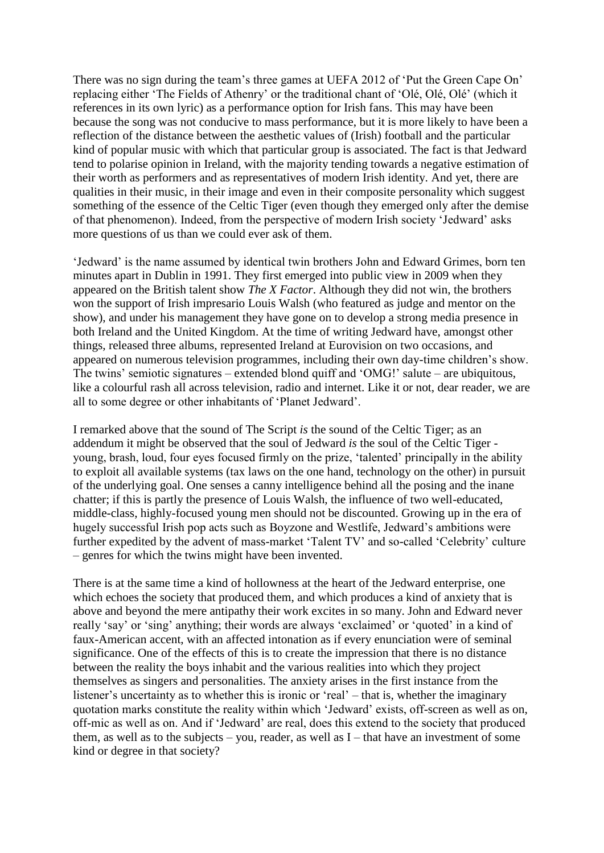There was no sign during the team's three games at UEFA 2012 of 'Put the Green Cape On' replacing either 'The Fields of Athenry' or the traditional chant of 'Olé, Olé, Olé' (which it references in its own lyric) as a performance option for Irish fans. This may have been because the song was not conducive to mass performance, but it is more likely to have been a reflection of the distance between the aesthetic values of (Irish) football and the particular kind of popular music with which that particular group is associated. The fact is that Jedward tend to polarise opinion in Ireland, with the majority tending towards a negative estimation of their worth as performers and as representatives of modern Irish identity. And yet, there are qualities in their music, in their image and even in their composite personality which suggest something of the essence of the Celtic Tiger (even though they emerged only after the demise of that phenomenon). Indeed, from the perspective of modern Irish society 'Jedward' asks more questions of us than we could ever ask of them.

'Jedward' is the name assumed by identical twin brothers John and Edward Grimes, born ten minutes apart in Dublin in 1991. They first emerged into public view in 2009 when they appeared on the British talent show *The X Factor*. Although they did not win, the brothers won the support of Irish impresario Louis Walsh (who featured as judge and mentor on the show), and under his management they have gone on to develop a strong media presence in both Ireland and the United Kingdom. At the time of writing Jedward have, amongst other things, released three albums, represented Ireland at Eurovision on two occasions, and appeared on numerous television programmes, including their own day-time children's show. The twins' semiotic signatures – extended blond quiff and 'OMG!' salute – are ubiquitous, like a colourful rash all across television, radio and internet. Like it or not, dear reader, we are all to some degree or other inhabitants of 'Planet Jedward'.

I remarked above that the sound of The Script *is* the sound of the Celtic Tiger; as an addendum it might be observed that the soul of Jedward *is* the soul of the Celtic Tiger young, brash, loud, four eyes focused firmly on the prize, 'talented' principally in the ability to exploit all available systems (tax laws on the one hand, technology on the other) in pursuit of the underlying goal. One senses a canny intelligence behind all the posing and the inane chatter; if this is partly the presence of Louis Walsh, the influence of two well-educated, middle-class, highly-focused young men should not be discounted. Growing up in the era of hugely successful Irish pop acts such as Boyzone and Westlife, Jedward's ambitions were further expedited by the advent of mass-market 'Talent TV' and so-called 'Celebrity' culture – genres for which the twins might have been invented.

There is at the same time a kind of hollowness at the heart of the Jedward enterprise, one which echoes the society that produced them, and which produces a kind of anxiety that is above and beyond the mere antipathy their work excites in so many. John and Edward never really 'say' or 'sing' anything; their words are always 'exclaimed' or 'quoted' in a kind of faux-American accent, with an affected intonation as if every enunciation were of seminal significance. One of the effects of this is to create the impression that there is no distance between the reality the boys inhabit and the various realities into which they project themselves as singers and personalities. The anxiety arises in the first instance from the listener's uncertainty as to whether this is ironic or 'real' – that is, whether the imaginary quotation marks constitute the reality within which 'Jedward' exists, off-screen as well as on, off-mic as well as on. And if 'Jedward' are real, does this extend to the society that produced them, as well as to the subjects – you, reader, as well as I – that have an investment of some kind or degree in that society?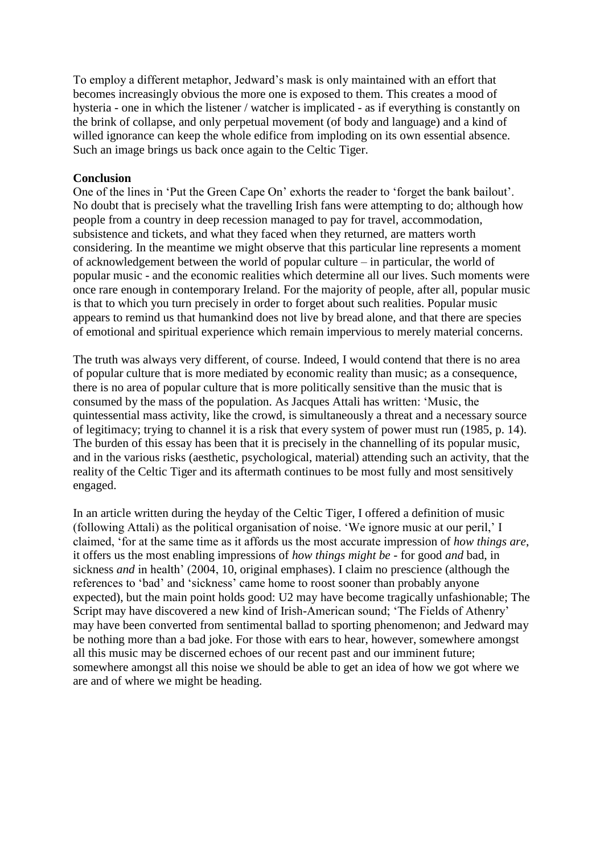To employ a different metaphor, Jedward's mask is only maintained with an effort that becomes increasingly obvious the more one is exposed to them. This creates a mood of hysteria - one in which the listener / watcher is implicated - as if everything is constantly on the brink of collapse, and only perpetual movement (of body and language) and a kind of willed ignorance can keep the whole edifice from imploding on its own essential absence. Such an image brings us back once again to the Celtic Tiger.

#### **Conclusion**

One of the lines in 'Put the Green Cape On' exhorts the reader to 'forget the bank bailout'. No doubt that is precisely what the travelling Irish fans were attempting to do; although how people from a country in deep recession managed to pay for travel, accommodation, subsistence and tickets, and what they faced when they returned, are matters worth considering. In the meantime we might observe that this particular line represents a moment of acknowledgement between the world of popular culture – in particular, the world of popular music - and the economic realities which determine all our lives. Such moments were once rare enough in contemporary Ireland. For the majority of people, after all, popular music is that to which you turn precisely in order to forget about such realities. Popular music appears to remind us that humankind does not live by bread alone, and that there are species of emotional and spiritual experience which remain impervious to merely material concerns.

The truth was always very different, of course. Indeed, I would contend that there is no area of popular culture that is more mediated by economic reality than music; as a consequence, there is no area of popular culture that is more politically sensitive than the music that is consumed by the mass of the population. As Jacques Attali has written: 'Music, the quintessential mass activity, like the crowd, is simultaneously a threat and a necessary source of legitimacy; trying to channel it is a risk that every system of power must run (1985, p. 14). The burden of this essay has been that it is precisely in the channelling of its popular music, and in the various risks (aesthetic, psychological, material) attending such an activity, that the reality of the Celtic Tiger and its aftermath continues to be most fully and most sensitively engaged.

In an article written during the heyday of the Celtic Tiger, I offered a definition of music (following Attali) as the political organisation of noise. 'We ignore music at our peril,' I claimed, 'for at the same time as it affords us the most accurate impression of *how things are*, it offers us the most enabling impressions of *how things might be* - for good *and* bad, in sickness *and* in health' (2004, 10, original emphases). I claim no prescience (although the references to 'bad' and 'sickness' came home to roost sooner than probably anyone expected), but the main point holds good: U2 may have become tragically unfashionable; The Script may have discovered a new kind of Irish-American sound; 'The Fields of Athenry' may have been converted from sentimental ballad to sporting phenomenon; and Jedward may be nothing more than a bad joke. For those with ears to hear, however, somewhere amongst all this music may be discerned echoes of our recent past and our imminent future; somewhere amongst all this noise we should be able to get an idea of how we got where we are and of where we might be heading.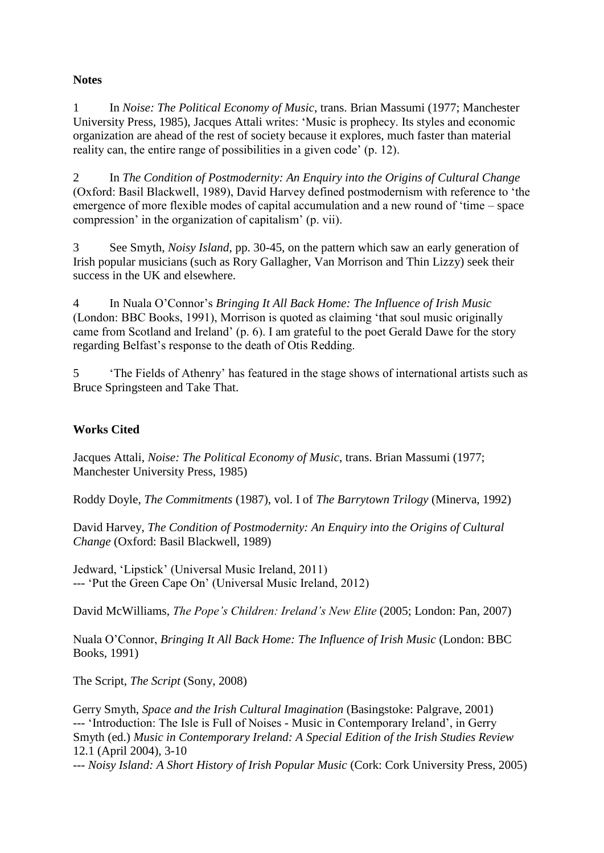# **Notes**

1 In *Noise: The Political Economy of Music*, trans. Brian Massumi (1977; Manchester University Press, 1985), Jacques Attali writes: 'Music is prophecy. Its styles and economic organization are ahead of the rest of society because it explores, much faster than material reality can, the entire range of possibilities in a given code' (p. 12).

2 In *The Condition of Postmodernity: An Enquiry into the Origins of Cultural Change* (Oxford: Basil Blackwell, 1989), David Harvey defined postmodernism with reference to 'the emergence of more flexible modes of capital accumulation and a new round of 'time – space compression' in the organization of capitalism' (p. vii).

3 See Smyth, *Noisy Island*, pp. 30-45, on the pattern which saw an early generation of Irish popular musicians (such as Rory Gallagher, Van Morrison and Thin Lizzy) seek their success in the UK and elsewhere.

4 In Nuala O'Connor's *Bringing It All Back Home: The Influence of Irish Music* (London: BBC Books, 1991), Morrison is quoted as claiming 'that soul music originally came from Scotland and Ireland' (p. 6). I am grateful to the poet Gerald Dawe for the story regarding Belfast's response to the death of Otis Redding.

5 'The Fields of Athenry' has featured in the stage shows of international artists such as Bruce Springsteen and Take That.

# **Works Cited**

Jacques Attali, *Noise: The Political Economy of Music*, trans. Brian Massumi (1977; Manchester University Press, 1985)

Roddy Doyle, *The Commitments* (1987), vol. I of *The Barrytown Trilogy* (Minerva, 1992)

David Harvey, *The Condition of Postmodernity: An Enquiry into the Origins of Cultural Change* (Oxford: Basil Blackwell, 1989)

Jedward, 'Lipstick' (Universal Music Ireland, 2011) --- 'Put the Green Cape On' (Universal Music Ireland, 2012)

David McWilliams, *The Pope's Children: Ireland's New Elite* (2005; London: Pan, 2007)

Nuala O'Connor, *Bringing It All Back Home: The Influence of Irish Music* (London: BBC Books, 1991)

The Script, *The Script* (Sony, 2008)

Gerry Smyth, *Space and the Irish Cultural Imagination* (Basingstoke: Palgrave, 2001) --- 'Introduction: The Isle is Full of Noises - Music in Contemporary Ireland', in Gerry Smyth (ed.) *Music in Contemporary Ireland: A Special Edition of the Irish Studies Review*  12.1 (April 2004), 3-10

--- *Noisy Island: A Short History of Irish Popular Music* (Cork: Cork University Press, 2005)